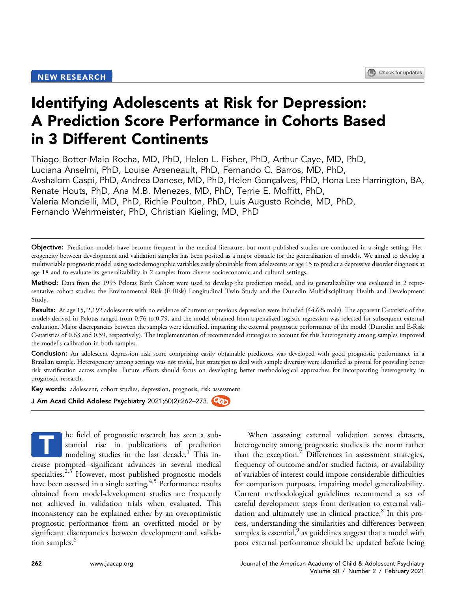# Identifying Adolescents at Risk for Depression: A Prediction Score Performance in Cohorts Based in 3 Different Continents

Thiago Botter-Maio Rocha, MD, PhD, Helen L. Fisher, PhD, Arthur Caye, MD, PhD, Luciana Anselmi, PhD, Louise Arseneault, PhD, Fernando C. Barros, MD, PhD, Avshalom Caspi, PhD, Andrea Danese, MD, PhD, Helen Gonçalves, PhD, Hona Lee Harrington, BA, Renate Houts, PhD, Ana M.B. Menezes, MD, PhD, Terrie E. Moffitt, PhD, Valeria Mondelli, MD, PhD, Richie Poulton, PhD, Luis Augusto Rohde, MD, PhD, Fernando Wehrmeister, PhD, Christian Kieling, MD, PhD

Objective: Prediction models have become frequent in the medical literature, but most published studies are conducted in a single setting. Heterogeneity between development and validation samples has been posited as a major obstacle for the generalization of models. We aimed to develop a multivariable prognostic model using sociodemographic variables easily obtainable from adolescents at age 15 to predict a depressive disorder diagnosis at age 18 and to evaluate its generalizability in 2 samples from diverse socioeconomic and cultural settings.

Method: Data from the 1993 Pelotas Birth Cohort were used to develop the prediction model, and its generalizability was evaluated in 2 representative cohort studies: the Environmental Risk (E-Risk) Longitudinal Twin Study and the Dunedin Multidisciplinary Health and Development Study.

Results: At age 15, 2,192 adolescents with no evidence of current or previous depression were included (44.6% male). The apparent C-statistic of the models derived in Pelotas ranged from 0.76 to 0.79, and the model obtained from a penalized logistic regression was selected for subsequent external evaluation. Major discrepancies between the samples were identified, impacting the external prognostic performance of the model (Dunedin and E-Risk C-statistics of 0.63 and 0.59, respectively). The implementation of recommended strategies to account for this heterogeneity among samples improved the model's calibration in both samples.

Conclusion: An adolescent depression risk score comprising easily obtainable predictors was developed with good prognostic performance in a Brazilian sample. Heterogeneity among settings was not trivial, but strategies to deal with sample diversity were identified as pivotal for providing better risk stratification across samples. Future efforts should focus on developing better methodological approaches for incorporating heterogeneity in prognostic research.

Key words: adolescent, cohort studies, depression, prognosis, risk assessment

J Am Acad Child Adolesc Psychiatry 2021;60(2):262-273.

he field of prognostic research has seen a substantial rise in publications of prediction modeling studies in the last decade.<sup>[1](#page-10-0)</sup> This increase prompted significant advances in several medical specialties.<sup>2,[3](#page-10-2)</sup> However, most published prognostic models have been assessed in a single setting.<sup>4[,5](#page-10-4)</sup> Performance results obtained from model-development studies are frequently not achieved in validation trials when evaluated. This inconsistency can be explained either by an overoptimistic prognostic performance from an overfitted model or by significant discrepancies between development and valida-tion samples.<sup>[6](#page-10-5)</sup> T

When assessing external validation across datasets, heterogeneity among prognostic studies is the norm rather than the exception.<sup>[7](#page-10-6)</sup> Differences in assessment strategies, frequency of outcome and/or studied factors, or availability of variables of interest could impose considerable difficulties for comparison purposes, impairing model generalizability. Current methodological guidelines recommend a set of careful development steps from derivation to external vali-dation and ultimately use in clinical practice.<sup>[8](#page-10-7)</sup> In this process, understanding the similarities and differences between samples is essential, $9$  as guidelines suggest that a model with poor external performance should be updated before being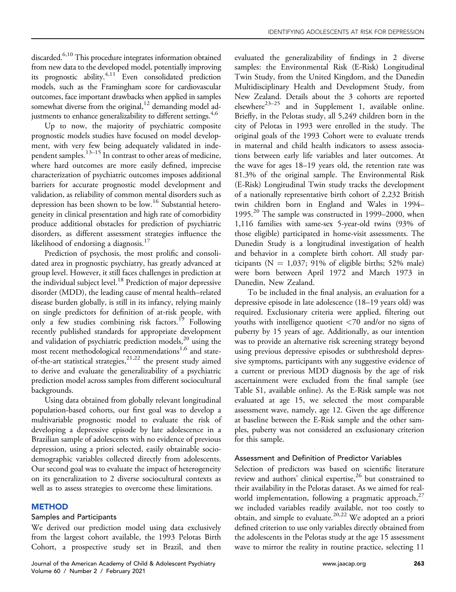discarded.<sup>6[,10](#page-10-9)</sup> This procedure integrates information obtained from new data to the developed model, potentially improving its prognostic ability.[4,](#page-10-3)[11](#page-10-10) Even consolidated prediction models, such as the Framingham score for cardiovascular outcomes, face important drawbacks when applied in samples somewhat diverse from the original,<sup>12</sup> demanding model ad-justments to enhance generalizability to different settings.<sup>4[,6](#page-10-5)</sup>

Up to now, the majority of psychiatric composite prognostic models studies have focused on model development, with very few being adequately validated in independent samples.[13](#page-10-12)–<sup>15</sup> In contrast to other areas of medicine, where hard outcomes are more easily defined, imprecise characterization of psychiatric outcomes imposes additional barriers for accurate prognostic model development and validation, as reliability of common mental disorders such as depression has been shown to be low.<sup>[16](#page-10-13)</sup> Substantial heterogeneity in clinical presentation and high rate of comorbidity produce additional obstacles for prediction of psychiatric disorders, as different assessment strategies influence the likelihood of endorsing a diagnosis.<sup>17</sup>

Prediction of psychosis, the most prolific and consolidated area in prognostic psychiatry, has greatly advanced at group level. However, it still faces challenges in prediction at the individual subject level.<sup>18</sup> Prediction of major depressive disorder (MDD), the leading cause of mental health–related disease burden globally, is still in its infancy, relying mainly on single predictors for definition of at-risk people, with only a few studies combining risk factors.<sup>[19](#page-10-16)</sup> Following recently published standards for appropriate development and validation of psychiatric prediction models,<sup>20</sup> using the most recent methodological recommendations<sup>[1,](#page-10-0)[6](#page-10-5)</sup> and stateof-the-art statistical strategies,  $2^{1,22}$  $2^{1,22}$  $2^{1,22}$  the present study aimed to derive and evaluate the generalizability of a psychiatric prediction model across samples from different sociocultural backgrounds.

Using data obtained from globally relevant longitudinal population-based cohorts, our first goal was to develop a multivariable prognostic model to evaluate the risk of developing a depressive episode by late adolescence in a Brazilian sample of adolescents with no evidence of previous depression, using a priori selected, easily obtainable sociodemographic variables collected directly from adolescents. Our second goal was to evaluate the impact of heterogeneity on its generalization to 2 diverse sociocultural contexts as well as to assess strategies to overcome these limitations.

# **METHOD**

# Samples and Participants

We derived our prediction model using data exclusively from the largest cohort available, the 1993 Pelotas Birth Cohort, a prospective study set in Brazil, and then evaluated the generalizability of findings in 2 diverse samples: the Environmental Risk (E-Risk) Longitudinal Twin Study, from the United Kingdom, and the Dunedin Multidisciplinary Health and Development Study, from New Zealand. Details about the 3 cohorts are reported elsewhere $23-25$  $23-25$  and in Supplement 1, available online. Briefly, in the Pelotas study, all 5,249 children born in the city of Pelotas in 1993 were enrolled in the study. The original goals of the 1993 Cohort were to evaluate trends in maternal and child health indicators to assess associations between early life variables and later outcomes. At the wave for ages 18–19 years old, the retention rate was 81.3% of the original sample. The Environmental Risk (E-Risk) Longitudinal Twin study tracks the development of a nationally representative birth cohort of 2,232 British twin children born in England and Wales in 1994– 1995.<sup>20</sup> The sample was constructed in 1999–2000, when 1,116 families with same-sex 5-year-old twins (93% of those eligible) participated in home-visit assessments. The Dunedin Study is a longitudinal investigation of health and behavior in a complete birth cohort. All study participants ( $N = 1,037$ ; 91% of eligible births; 52% male) were born between April 1972 and March 1973 in Dunedin, New Zealand.

To be included in the final analysis, an evaluation for a depressive episode in late adolescence (18–19 years old) was required. Exclusionary criteria were applied, filtering out youths with intelligence quotient <70 and/or no signs of puberty by 15 years of age. Additionally, as our intention was to provide an alternative risk screening strategy beyond using previous depressive episodes or subthreshold depressive symptoms, participants with any suggestive evidence of a current or previous MDD diagnosis by the age of risk ascertainment were excluded from the final sample (see Table S1, available online). As the E-Risk sample was not evaluated at age 15, we selected the most comparable assessment wave, namely, age 12. Given the age difference at baseline between the E-Risk sample and the other samples, puberty was not considered an exclusionary criterion for this sample.

# Assessment and Definition of Predictor Variables

Selection of predictors was based on scientific literature review and authors' clinical expertise,  $26$  but constrained to their availability in the Pelotas dataset. As we aimed for realworld implementation, following a pragmatic approach,  $27$ we included variables readily available, not too costly to obtain, and simple to evaluate.[20,](#page-10-17)[22](#page-10-19) We adopted an a priori defined criterion to use only variables directly obtained from the adolescents in the Pelotas study at the age 15 assessment wave to mirror the reality in routine practice, selecting 11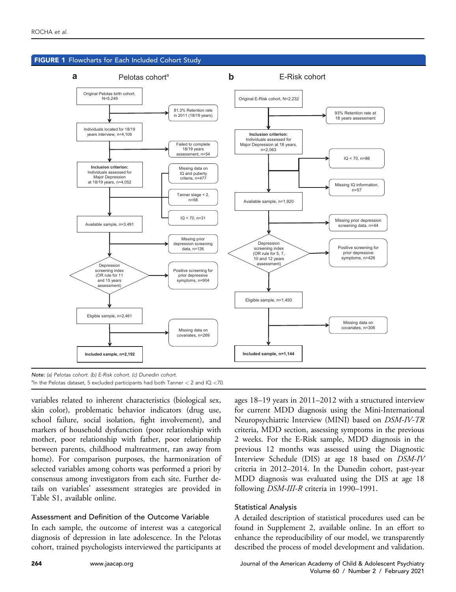<span id="page-2-0"></span>

Note: (a) Pelotas cohort. (b) E-Risk cohort. (c) Dunedin cohort. <sup>a</sup>In the Pelotas dataset, 5 excluded participants had both Tanner  $< 2$  and IQ  $<$ 70.

variables related to inherent characteristics (biological sex, skin color), problematic behavior indicators (drug use, school failure, social isolation, fight involvement), and markers of household dysfunction (poor relationship with mother, poor relationship with father, poor relationship between parents, childhood maltreatment, ran away from home). For comparison purposes, the harmonization of selected variables among cohorts was performed a priori by consensus among investigators from each site. Further details on variables' assessment strategies are provided in Table S1, available online.

### Assessment and Definition of the Outcome Variable

In each sample, the outcome of interest was a categorical diagnosis of depression in late adolescence. In the Pelotas cohort, trained psychologists interviewed the participants at ages 18–19 years in 2011–2012 with a structured interview for current MDD diagnosis using the Mini-International Neuropsychiatric Interview (MINI) based on DSM-IV-TR criteria, MDD section, assessing symptoms in the previous 2 weeks. For the E-Risk sample, MDD diagnosis in the previous 12 months was assessed using the Diagnostic Interview Schedule (DIS) at age 18 based on DSM-IV criteria in 2012–2014. In the Dunedin cohort, past-year MDD diagnosis was evaluated using the DIS at age 18 following DSM-III-R criteria in 1990–1991.

### Statistical Analysis

A detailed description of statistical procedures used can be found in Supplement 2, available online. In an effort to enhance the reproducibility of our model, we transparently described the process of model development and validation.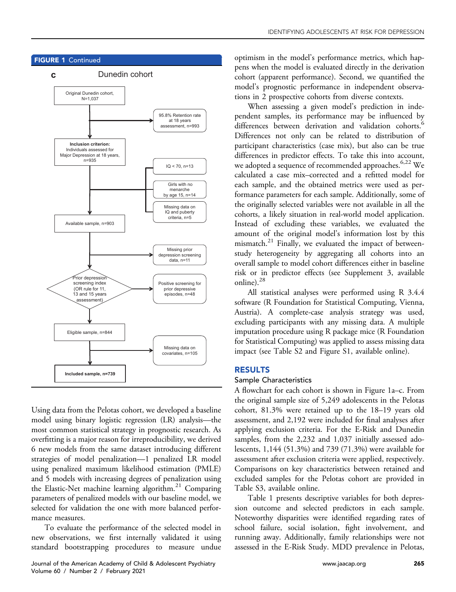

# Using data from the Pelotas cohort, we developed a baseline model using binary logistic regression (LR) analysis—the most common statistical strategy in prognostic research. As overfitting is a major reason for irreproducibility, we derived 6 new models from the same dataset introducing different strategies of model penalization—1 penalized LR model using penalized maximum likelihood estimation (PMLE) and 5 models with increasing degrees of penalization using the Elastic-Net machine learning algorithm.<sup>21</sup> Comparing parameters of penalized models with our baseline model, we selected for validation the one with more balanced performance measures.

To evaluate the performance of the selected model in new observations, we first internally validated it using standard bootstrapping procedures to measure undue

optimism in the model's performance metrics, which happens when the model is evaluated directly in the derivation cohort (apparent performance). Second, we quantified the model's prognostic performance in independent observations in 2 prospective cohorts from diverse contexts.

When assessing a given model's prediction in independent samples, its performance may be influenced by differences between derivation and validation cohorts.<sup>[6](#page-10-5)</sup> Differences not only can be related to distribution of participant characteristics (case mix), but also can be true differences in predictor effects. To take this into account, we adopted a sequence of recommended approaches.<sup>[6,](#page-10-5)[22](#page-10-19)</sup> We calculated a case mix–corrected and a refitted model for each sample, and the obtained metrics were used as performance parameters for each sample. Additionally, some of the originally selected variables were not available in all the cohorts, a likely situation in real-world model application. Instead of excluding these variables, we evaluated the amount of the original model's information lost by this mismatch.<sup>21</sup> Finally, we evaluated the impact of betweenstudy heterogeneity by aggregating all cohorts into an overall sample to model cohort differences either in baseline risk or in predictor effects (see Supplement 3, available online).[28](#page-11-1)

All statistical analyses were performed using R 3.4.4 software (R Foundation for Statistical Computing, Vienna, Austria). A complete-case analysis strategy was used, excluding participants with any missing data. A multiple imputation procedure using R package mice (R Foundation for Statistical Computing) was applied to assess missing data impact (see Table S2 and Figure S1, available online).

# RESULTS

# Sample Characteristics

A flowchart for each cohort is shown in [Figure 1](#page-2-0)a–c. From the original sample size of 5,249 adolescents in the Pelotas cohort, 81.3% were retained up to the 18–19 years old assessment, and 2,192 were included for final analyses after applying exclusion criteria. For the E-Risk and Dunedin samples, from the 2,232 and 1,037 initially assessed adolescents, 1,144 (51.3%) and 739 (71.3%) were available for assessment after exclusion criteria were applied, respectively. Comparisons on key characteristics between retained and excluded samples for the Pelotas cohort are provided in Table S3, available online.

[Table 1](#page-4-0) presents descriptive variables for both depression outcome and selected predictors in each sample. Noteworthy disparities were identified regarding rates of school failure, social isolation, fight involvement, and running away. Additionally, family relationships were not assessed in the E-Risk Study. MDD prevalence in Pelotas,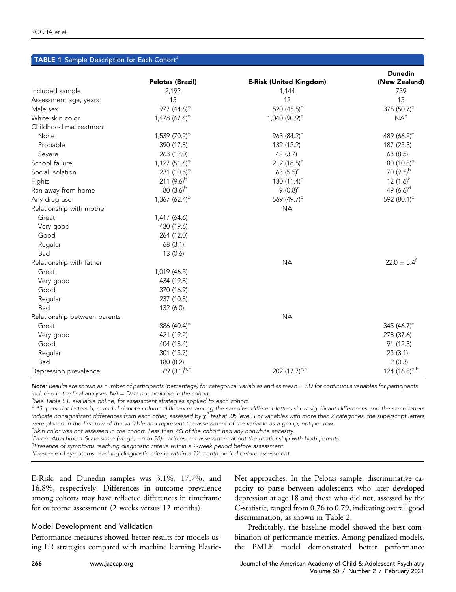<span id="page-4-0"></span>

|                              | TABLE 1 Sample Description for Each Cohort <sup>a</sup> |                                |                                 |  |  |  |  |  |
|------------------------------|---------------------------------------------------------|--------------------------------|---------------------------------|--|--|--|--|--|
|                              | <b>Pelotas (Brazil)</b>                                 | <b>E-Risk (United Kingdom)</b> | <b>Dunedin</b><br>(New Zealand) |  |  |  |  |  |
| Included sample              | 2,192                                                   | 1,144                          | 739                             |  |  |  |  |  |
| Assessment age, years        | 15                                                      | 12                             | 15                              |  |  |  |  |  |
| Male sex                     | 977 $(44.6)^b$                                          | 520 $(45.5)^{b}$               | 375 $(50.7)^c$                  |  |  |  |  |  |
| White skin color             | 1,478 $(67.4)^{b}$                                      | 1,040 (90.9) <sup>c</sup>      | NA <sup>e</sup>                 |  |  |  |  |  |
| Childhood maltreatment       |                                                         |                                |                                 |  |  |  |  |  |
| None                         | 1,539 (70.2) <sup>b</sup>                               | 963 (84.2) <sup>c</sup>        | 489 (66.2) <sup>d</sup>         |  |  |  |  |  |
| Probable                     | 390 (17.8)                                              | 139 (12.2)                     | 187 (25.3)                      |  |  |  |  |  |
| Severe                       | 263 (12.0)                                              | 42 (3.7)                       | 63 (8.5)                        |  |  |  |  |  |
| School failure               | 1,127 $(51.4)^{b}$                                      | 212 $(18.5)^{c}$               | 80 $(10.8)^d$                   |  |  |  |  |  |
| Social isolation             | 231 $(10.5)^{b}$                                        | 63 $(5.5)^c$                   | 70 $(9.5)^{b}$                  |  |  |  |  |  |
| Fights                       | 211 $(9.6)^{b}$                                         | 130 $(11.4)^b$                 | 12 $(1.6)^c$                    |  |  |  |  |  |
| Ran away from home           | 80 $(3.6)^{b}$                                          | 9 $(0.8)^c$                    | 49 $(6.6)^d$                    |  |  |  |  |  |
| Any drug use                 | $1,367$ (62.4) <sup>b</sup>                             | 569 (49.7) <sup>c</sup>        | 592 (80.1) <sup>d</sup>         |  |  |  |  |  |
| Relationship with mother     |                                                         | <b>NA</b>                      |                                 |  |  |  |  |  |
| Great                        | 1,417 (64.6)                                            |                                |                                 |  |  |  |  |  |
| Very good                    | 430 (19.6)                                              |                                |                                 |  |  |  |  |  |
| Good                         | 264 (12.0)                                              |                                |                                 |  |  |  |  |  |
| Regular                      | 68 (3.1)                                                |                                |                                 |  |  |  |  |  |
| Bad                          | 13(0.6)                                                 |                                |                                 |  |  |  |  |  |
| Relationship with father     |                                                         | <b>NA</b>                      | $22.0 \pm 5.4^{\circ}$          |  |  |  |  |  |
| Great                        | 1,019 (46.5)                                            |                                |                                 |  |  |  |  |  |
| Very good                    | 434 (19.8)                                              |                                |                                 |  |  |  |  |  |
| Good                         | 370 (16.9)                                              |                                |                                 |  |  |  |  |  |
| Regular                      | 237 (10.8)                                              |                                |                                 |  |  |  |  |  |
| Bad                          | 132 (6.0)                                               |                                |                                 |  |  |  |  |  |
| Relationship between parents |                                                         | <b>NA</b>                      |                                 |  |  |  |  |  |
| Great                        | 886 (40.4) <sup>b</sup>                                 |                                | 345 $(46.7)$ <sup>c</sup>       |  |  |  |  |  |
| Very good                    | 421 (19.2)                                              |                                | 278 (37.6)                      |  |  |  |  |  |
| Good                         | 404 (18.4)                                              |                                | 91 (12.3)                       |  |  |  |  |  |
| Regular                      | 301 (13.7)                                              |                                | 23(3.1)                         |  |  |  |  |  |
| Bad                          | 180 (8.2)                                               |                                | 2(0.3)                          |  |  |  |  |  |
| Depression prevalence        | 69 $(3.1)^{b,g}$                                        | 202 $(17.7)^{c,h}$             | 124 (16.8) <sup>d,h</sup>       |  |  |  |  |  |

 $\mathsf{Note}$ : Results are shown as number of participants (percentage) for categorical variables and as mean  $\pm$  SD for continuous variables for participants included in the final analyses.  $NA = Data$  not available in the cohort.

<sup>a</sup>See Table S1, available online, for assessment strategies applied to each cohort.

 $^{b-d}$ Superscript letters b, c, and d denote column differences among the samples: different letters show significant differences and the same letters indicate nonsignificant differences from each other, assessed by  $\chi^2$  test at .05 level. For variables with more than 2 categories, the superscript letters were placed in the first row of the variable and represent the assessment of the variable as a group, not per row.

 $e<sub>ekin</sub>$  color was not assessed in the cohort. Less than 7% of the cohort had any nonwhite ancestry.

f Parent Attachment Scale score (range, -6 to 28)—adolescent assessment about the relationship with both parents.<br><sup>g</sup>Prosence of symptoms reaching diagnostic criteria within a 2 wook period before assessment.

 $P^g$ Presence of symptoms reaching diagnostic criteria within a 2-week period before assessment.

h<br>Presence of symptoms reaching diagnostic criteria within a 12-month period before assessment.

E-Risk, and Dunedin samples was 3.1%, 17.7%, and 16.8%, respectively. Differences in outcome prevalence among cohorts may have reflected differences in timeframe for outcome assessment (2 weeks versus 12 months).

### Model Development and Validation

Performance measures showed better results for models using LR strategies compared with machine learning ElasticNet approaches. In the Pelotas sample, discriminative capacity to parse between adolescents who later developed depression at age 18 and those who did not, assessed by the C-statistic, ranged from 0.76 to 0.79, indicating overall good discrimination, as shown in [Table 2](#page-5-0).

Predictably, the baseline model showed the best combination of performance metrics. Among penalized models, the PMLE model demonstrated better performance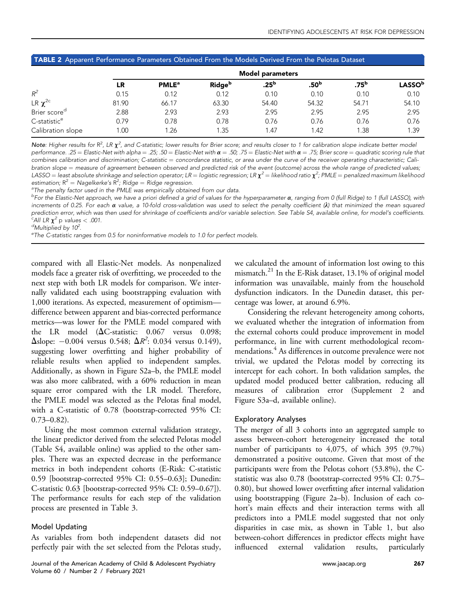|       | <b>Model parameters</b>  |                           |               |                  |               |                |  |  |  |
|-------|--------------------------|---------------------------|---------------|------------------|---------------|----------------|--|--|--|
| LR    | <b>PMLE</b> <sup>a</sup> | <b>Ridge</b> <sup>b</sup> | $.25^{\rm b}$ | .50 <sup>b</sup> | $.75^{\rm b}$ | <b>LASSO</b> b |  |  |  |
| 0.15  | 0.12                     | 0.12                      | 0.10          | 0.10             | 0.10          | 0.10           |  |  |  |
| 81.90 | 66.17                    | 63.30                     | 54.40         | 54.32            | 54.71         | 54.10          |  |  |  |
| 2.88  | 2.93                     | 2.93                      | 2.95          | 2.95             | 2.95          | 2.95           |  |  |  |
| 0.79  | 0.78                     | 0.78                      | 0.76          | 0.76             | 0.76          | 0.76           |  |  |  |
| .00.  | .26                      | 1.35                      | 1.47          | 1.42             | 1.38          | 1.39           |  |  |  |
|       |                          |                           |               |                  |               |                |  |  |  |

### <span id="page-5-0"></span>TABLE 2 Apparent Performance Parameters Obtained From the Models Derived From the Pelotas Dataset

Note: Higher results for R<sup>2</sup>, LR  $\chi^2$ , and C-statistic; lower results for Brier score; and results closer to 1 for calibration slope indicate better model performance. .25 = Elastic-Net with alpha = .25; .50 = Elastic-Net with  $\alpha$  = .50; .75 = Elastic-Net with  $\alpha$  = .75; Brier score = quadratic scoring rule that combines calibration and discrimination; C-statistic = concordance statistic, or area under the curve of the receiver operating characteristic; Calibration slope = measure of agreement between observed and predicted risk of the event (outcome) across the whole range of predicted values; LASSO = least absolute shrinkage and selection operator; LR = logistic regression; LR  $\chi^2$  = likelihood ratio  $\chi^2$ ; PMLE = penalized maximum likelihood estimation;  $R^2 =$  Nagelkerke's  $R^2$ ; Ridge  $=$  Ridge regression.<br><sup>a</sup>The penalty factor used in the PMLE was empirically obtain

<sup>a</sup>The penalty factor used in the PMLE was empirically obtained from our data.

<sup>b</sup>For the Elastic-Net approach, we have a priori defined a grid of values for the hyperparameter  $\alpha$ , ranging from 0 (full Ridge) to 1 (full LASSO), with increments of 0.25. For each  $\alpha$  value, a 10-fold cross-validation was used to select the penalty coefficient ( $\lambda$ ) that minimized the mean squared prediction error, which was then used for shrinkage of coefficients and/or variable selection. See Table S4, available online, for model's coefficients. <sup>c</sup>All LR  $\chi^2$  p values < .001.<br><sup>d</sup>Multiplied by 10<sup>2</sup>

<sup>d</sup>Multiplied by 10<sup>2</sup>.<br><sup>e</sup>The C statistic ran

<sup>e</sup>The C-statistic ranges from 0.5 for noninformative models to 1.0 for perfect models.

compared with all Elastic-Net models. As nonpenalized models face a greater risk of overfitting, we proceeded to the next step with both LR models for comparison. We internally validated each using bootstrapping evaluation with 1,000 iterations. As expected, measurement of optimism difference between apparent and bias-corrected performance metrics—was lower for the PMLE model compared with the LR model ( $\Delta C$ -statistic: 0.067 versus 0.098;  $\Delta$ slope:  $-0.004$  versus 0.548;  $\Delta R^2$ : 0.034 versus 0.149), suggesting lower overfitting and higher probability of reliable results when applied to independent samples. Additionally, as shown in Figure S2a–b, the PMLE model was also more calibrated, with a 60% reduction in mean square error compared with the LR model. Therefore, the PMLE model was selected as the Pelotas final model, with a C-statistic of 0.78 (bootstrap-corrected 95% CI:  $0.73 - 0.82$ .

Using the most common external validation strategy, the linear predictor derived from the selected Pelotas model (Table S4, available online) was applied to the other samples. There was an expected decrease in the performance metrics in both independent cohorts (E-Risk: C-statistic 0.59 [bootstrap-corrected 95% CI: 0.55–0.63]; Dunedin: C-statistic 0.63 [bootstrap-corrected 95% CI: 0.59–0.67]). The performance results for each step of the validation process are presented in [Table 3.](#page-6-0)

### Model Updating

As variables from both independent datasets did not perfectly pair with the set selected from the Pelotas study,

Journal of the American Academy of Child & Adolescent Psychiatry [www.jaacap.org](http://www.jaacap.org) 267 Volume 60 / Number 2 / February 2021

we calculated the amount of information lost owing to this mismatch[.21](#page-10-18) In the E-Risk dataset, 13.1% of original model information was unavailable, mainly from the household dysfunction indicators. In the Dunedin dataset, this percentage was lower, at around 6.9%.

Considering the relevant heterogeneity among cohorts, we evaluated whether the integration of information from the external cohorts could produce improvement in model performance, in line with current methodological recommendations.<sup>4</sup> As differences in outcome prevalence were not trivial, we updated the Pelotas model by correcting its intercept for each cohort. In both validation samples, the updated model produced better calibration, reducing all measures of calibration error (Supplement 2 and Figure S3a–d, available online).

### Exploratory Analyses

The merger of all 3 cohorts into an aggregated sample to assess between-cohort heterogeneity increased the total number of participants to 4,075, of which 395 (9.7%) demonstrated a positive outcome. Given that most of the participants were from the Pelotas cohort (53.8%), the Cstatistic was also 0.78 (bootstrap-corrected 95% CI: 0.75– 0.80), but showed lower overfitting after internal validation using bootstrapping (Figure 2a–b). Inclusion of each cohort's main effects and their interaction terms with all predictors into a PMLE model suggested that not only disparities in case mix, as shown in [Table 1,](#page-4-0) but also between-cohort differences in predictor effects might have influenced external validation results, particularly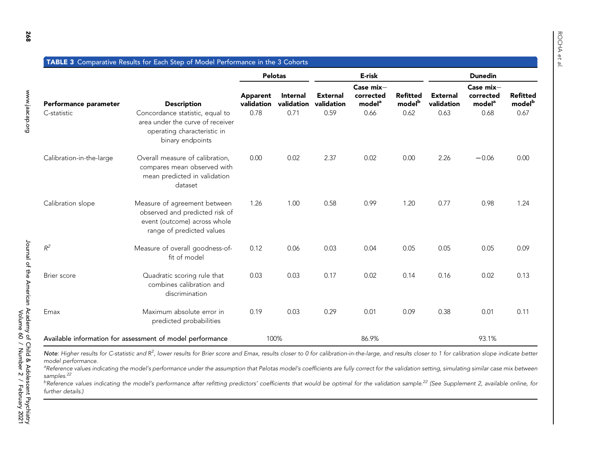<span id="page-6-0"></span>

|                                                           |                                                                                                                             | <b>Pelotas</b>         |                               | E-risk                        |                                              | <b>Dunedin</b>                        |                               |                                              |                                       |
|-----------------------------------------------------------|-----------------------------------------------------------------------------------------------------------------------------|------------------------|-------------------------------|-------------------------------|----------------------------------------------|---------------------------------------|-------------------------------|----------------------------------------------|---------------------------------------|
| Performance parameter                                     | <b>Description</b>                                                                                                          | Apparent<br>validation | <b>Internal</b><br>validation | <b>External</b><br>validation | Case mix-<br>corrected<br>model <sup>a</sup> | <b>Refitted</b><br>model <sup>b</sup> | <b>External</b><br>validation | Case mix-<br>corrected<br>model <sup>a</sup> | <b>Refitted</b><br>model <sup>b</sup> |
| C-statistic                                               | Concordance statistic, equal to<br>area under the curve of receiver<br>operating characteristic in<br>binary endpoints      | 0.78                   | 0.71                          | 0.59                          | 0.66                                         | 0.62                                  | 0.63                          | 0.68                                         | 0.67                                  |
| Calibration-in-the-large                                  | Overall measure of calibration,<br>compares mean observed with<br>mean predicted in validation<br>dataset                   | 0.00                   | 0.02                          | 2.37                          | 0.02                                         | 0.00                                  | 2.26                          | $-0.06$                                      | 0.00                                  |
| Calibration slope                                         | Measure of agreement between<br>observed and predicted risk of<br>event (outcome) across whole<br>range of predicted values | 1.26                   | 1.00                          | 0.58                          | 0.99                                         | 1.20                                  | 0.77                          | 0.98                                         | 1.24                                  |
| $R^2$                                                     | Measure of overall goodness-of-<br>fit of model                                                                             | 0.12                   | 0.06                          | 0.03                          | 0.04                                         | 0.05                                  | 0.05                          | 0.05                                         | 0.09                                  |
| Brier score                                               | Quadratic scoring rule that<br>combines calibration and<br>discrimination                                                   | 0.03                   | 0.03                          | 0.17                          | 0.02                                         | 0.14                                  | 0.16                          | 0.02                                         | 0.13                                  |
| Emax                                                      | Maximum absolute error in<br>predicted probabilities                                                                        | 0.19                   | 0.03                          | 0.29                          | 0.01                                         | 0.09                                  | 0.38                          | 0.01                                         | 0.11                                  |
| Available information for assessment of model performance |                                                                                                                             |                        | 100%                          |                               | 86.9%                                        |                                       |                               | 93.1%                                        |                                       |

TABLE 3Comparative Results for Each Step of Model Performance in the 3 Cohorts

Note: Higher results for C-statistic and R<sup>2</sup>, lower results for Brier score and Emax, results closer to 0 for calibration-in-the-large, and results closer to 1 for calibration slope indicate better model performance.

<sup>a</sup>Reference values indicating the model's performance under the assumption that Pelotas model's coefficients are fully correct for the validation setting, simulating similar case mix between samples.<sup>[22](#page-10-22)</sup>

<sup>b</sup>Reference values indicating the model's performance after refitting predictors' coefficients that would be optimal for the validation sample.<sup>[22](#page-10-22)</sup> (See Supplement 2, available online, for further details.)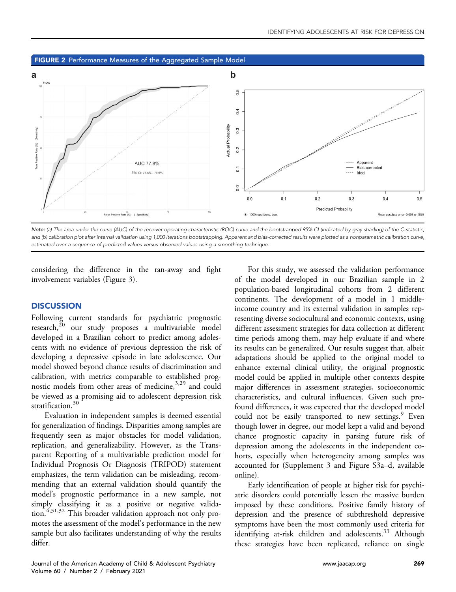



Note: (a) The area under the curve (AUC) of the receiver operating characteristic (ROC) curve and the bootstrapped 95% CI (indicated by gray shading) of the C-statistic, and (b) calibration plot after internal validation using 1,000 iterations bootstrapping. Apparent and bias-corrected results were plotted as a nonparametric calibration curve, estimated over a sequence of predicted values versus observed values using a smoothing technique.

considering the difference in the ran-away and fight involvement variables ([Figure 3](#page-8-0)).

### **DISCUSSION**

Following current standards for psychiatric prognostic research,<sup>[20](#page-10-17)</sup> our study proposes a multivariable model developed in a Brazilian cohort to predict among adolescents with no evidence of previous depression the risk of developing a depressive episode in late adolescence. Our model showed beyond chance results of discrimination and calibration, with metrics comparable to established prog-nostic models from other areas of medicine,<sup>3,[29](#page-11-2)</sup> and could be viewed as a promising aid to adolescent depression risk stratification.<sup>30</sup>

Evaluation in independent samples is deemed essential for generalization of findings. Disparities among samples are frequently seen as major obstacles for model validation, replication, and generalizability. However, as the Transparent Reporting of a multivariable prediction model for Individual Prognosis Or Diagnosis (TRIPOD) statement emphasizes, the term validation can be misleading, recommending that an external validation should quantify the model's prognostic performance in a new sample, not simply classifying it as a positive or negative valida-tion.<sup>4[,31,](#page-11-4)[32](#page-11-5)</sup> This broader validation approach not only promotes the assessment of the model's performance in the new sample but also facilitates understanding of why the results differ.

For this study, we assessed the validation performance of the model developed in our Brazilian sample in 2 population-based longitudinal cohorts from 2 different continents. The development of a model in 1 middleincome country and its external validation in samples representing diverse sociocultural and economic contexts, using different assessment strategies for data collection at different time periods among them, may help evaluate if and where its results can be generalized. Our results suggest that, albeit adaptations should be applied to the original model to enhance external clinical utility, the original prognostic model could be applied in multiple other contexts despite major differences in assessment strategies, socioeconomic characteristics, and cultural influences. Given such profound differences, it was expected that the developed model could not be easily transported to new settings.<sup>9</sup> Even though lower in degree, our model kept a valid and beyond chance prognostic capacity in parsing future risk of depression among the adolescents in the independent cohorts, especially when heterogeneity among samples was accounted for (Supplement 3 and Figure S3a–d, available online).

Early identification of people at higher risk for psychiatric disorders could potentially lessen the massive burden imposed by these conditions. Positive family history of depression and the presence of subthreshold depressive symptoms have been the most commonly used criteria for identifying at-risk children and adolescents.<sup>33</sup> Although these strategies have been replicated, reliance on single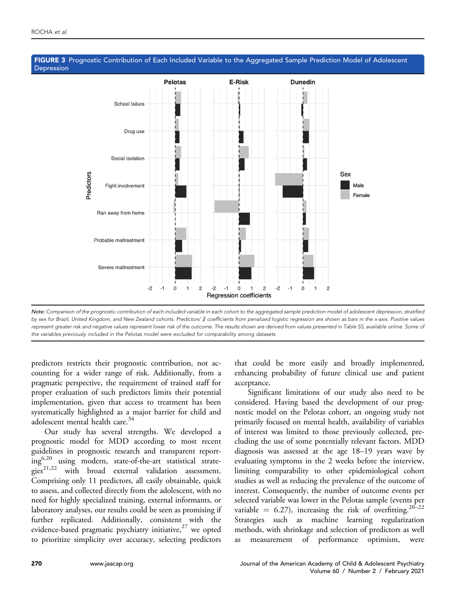

### <span id="page-8-0"></span>FIGURE 3 Prognostic Contribution of Each Included Variable to the Aggregated Sample Prediction Model of Adolescent Depression

Note: Comparison of the prognostic contribution of each included variable in each cohort to the aggregated sample prediction model of adolescent depression, stratified by sex for Brazil, United Kingdom, and New Zealand cohorts. Predictors'  $\beta$  coefficients from penalized logistic regression are shown as bars in the x-axis. Positive values represent greater risk and negative values represent lower risk of the outcome. The results shown are derived from values presented in Table S5, available online. Some of the variables previously included in the Pelotas model were excluded for comparability among datasets.

predictors restricts their prognostic contribution, not accounting for a wider range of risk. Additionally, from a pragmatic perspective, the requirement of trained staff for proper evaluation of such predictors limits their potential implementation, given that access to treatment has been systematically highlighted as a major barrier for child and adolescent mental health care.<sup>[34](#page-11-7)</sup>

Our study has several strengths. We developed a prognostic model for MDD according to most recent guidelines in prognostic research and transparent reporting[6,](#page-10-5)[20](#page-10-17) using modern, state-of-the-art statistical strate $g_1^{o}$   $g_2^{21,22}$  $g_2^{21,22}$  $g_2^{21,22}$  $g_2^{21,22}$  with broad external validation assessment. Comprising only 11 predictors, all easily obtainable, quick to assess, and collected directly from the adolescent, with no need for highly specialized training, external informants, or laboratory analyses, our results could be seen as promising if further replicated. Additionally, consistent with the evidence-based pragmatic psychiatry initiative, $27$  we opted to prioritize simplicity over accuracy, selecting predictors

that could be more easily and broadly implemented, enhancing probability of future clinical use and patient acceptance.

Significant limitations of our study also need to be considered. Having based the development of our prognostic model on the Pelotas cohort, an ongoing study not primarily focused on mental health, availability of variables of interest was limited to those previously collected, precluding the use of some potentially relevant factors. MDD diagnosis was assessed at the age 18–19 years wave by evaluating symptoms in the 2 weeks before the interview, limiting comparability to other epidemiological cohort studies as well as reducing the prevalence of the outcome of interest. Consequently, the number of outcome events per selected variable was lower in the Pelotas sample (events per variable = 6.27), increasing the risk of overfitting.<sup>[20](#page-10-17)–22</sup> Strategies such as machine learning regularization methods, with shrinkage and selection of predictors as well as measurement of performance optimism, were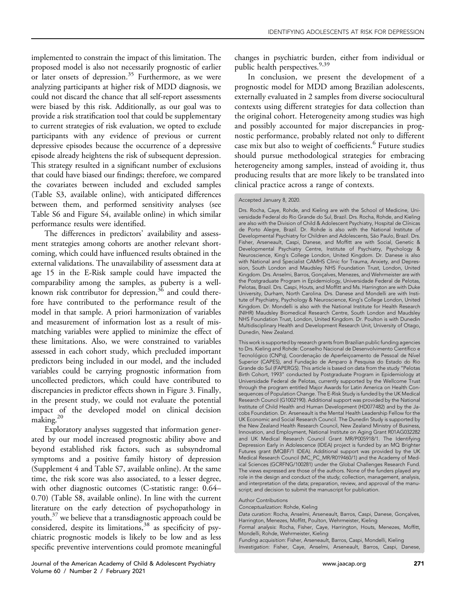implemented to constrain the impact of this limitation. The proposed model is also not necessarily prognostic of earlier or later onsets of depression.<sup>35</sup> Furthermore, as we were analyzing participants at higher risk of MDD diagnosis, we could not discard the chance that all self-report assessments were biased by this risk. Additionally, as our goal was to provide a risk stratification tool that could be supplementary to current strategies of risk evaluation, we opted to exclude participants with any evidence of previous or current depressive episodes because the occurrence of a depressive episode already heightens the risk of subsequent depression. This strategy resulted in a significant number of exclusions that could have biased our findings; therefore, we compared the covariates between included and excluded samples (Table S3, available online), with anticipated differences between them, and performed sensitivity analyses (see Table S6 and Figure S4, available online) in which similar performance results were identified.

The differences in predictors' availability and assessment strategies among cohorts are another relevant shortcoming, which could have influenced results obtained in the external validations. The unavailability of assessment data at age 15 in the E-Risk sample could have impacted the comparability among the samples, as puberty is a wellknown risk contributor for depression,  $36$  and could therefore have contributed to the performance result of the model in that sample. A priori harmonization of variables and measurement of information lost as a result of mismatching variables were applied to minimize the effect of these limitations. Also, we were constrained to variables assessed in each cohort study, which precluded important predictors being included in our model, and the included variables could be carrying prognostic information from uncollected predictors, which could have contributed to discrepancies in predictor effects shown in [Figure 3.](#page-8-0) Finally, in the present study, we could not evaluate the potential impact of the developed model on clinical decision making.[20](#page-10-17)

Exploratory analyses suggested that information generated by our model increased prognostic ability above and beyond established risk factors, such as subsyndromal symptoms and a positive family history of depression (Supplement 4 and Table S7, available online). At the same time, the risk score was also associated, to a lesser degree, with other diagnostic outcomes (C-statistic range: 0.64– 0.70) (Table S8, available online). In line with the current literature on the early detection of psychopathology in youth,<sup>[37](#page-11-10)</sup> we believe that a transdiagnostic approach could be  $\overline{\text{const}}$  considered, despite its limitations,  $38$  as specificity of psychiatric prognostic models is likely to be low and as less specific preventive interventions could promote meaningful

In conclusion, we present the development of a prognostic model for MDD among Brazilian adolescents, externally evaluated in 2 samples from diverse sociocultural contexts using different strategies for data collection than the original cohort. Heterogeneity among studies was high and possibly accounted for major discrepancies in prognostic performance, probably related not only to different case mix but also to weight of coefficients.<sup>[6](#page-10-5)</sup> Future studies should pursue methodological strategies for embracing heterogeneity among samples, instead of avoiding it, thus producing results that are more likely to be translated into clinical practice across a range of contexts.

Drs. Rocha, Caye, Rohde, and Kieling are with the School of Medicine, Universidade Federal do Rio Grande do Sul, Brazil. Drs. Rocha, Rohde, and Kieling are also with the Division of Child & Adolescent Psychiatry, Hospital de Clínicas de Porto Alegre, Brazil. Dr. Rohde is also with the National Institute of Developmental Psychiatry for Children and Adolescents, São Paulo, Brazil. Drs. Fisher, Arseneault, Caspi, Danese, and Moffitt are with Social, Genetic & Developmental Psychiatry Centre, Institute of Psychiatry, Psychology & Neuroscience, King's College London, United Kingdom. Dr. Danese is also with National and Specialist CAMHS Clinic for Trauma, Anxiety, and Depression, South London and Maudsley NHS Foundation Trust, London, United Kingdom. Drs. Anselmi, Barros, Goncalves, Menezes, and Wehrmeister are with the Postgraduate Program in Epidemiology, Universidade Federal de Pelotas, Pelotas, Brazil. Drs. Caspi, Houts, and Moffitt and Ms. Harrington are with Duke University, Durham, North Carolina. Drs. Danese and Mondelli are with Institute of Psychiatry, Psychology & Neuroscience, King's College London, United Kingdom. Dr. Mondelli is also with the National Institute for Health Research (NIHR) Maudsley Biomedical Research Centre, South London and Maudsley NHS Foundation Trust, London, United Kingdom. Dr. Poulton is with Dunedin Multidisciplinary Health and Development Research Unit, University of Otago, Dunedin, New Zealand.

This work is supported by research grants from Brazilian public funding agencies to Drs. Kieling and Rohde: Conselho Nacional de Desenvolvimento Científico e Tecnológico (CNPq), Coordenação de Aperfeiçoamento de Pessoal de Nível Superior (CAPES), and Fundação de Amparo à Pesquisa do Estado do Rio Grande do Sul (FAPERGS). This article is based on data from the study "Pelotas Birth Cohort, 1993" conducted by Postgraduate Program in Epidemiology at Universidade Federal de Pelotas, currently supported by the Wellcome Trust through the program entitled Major Awards for Latin America on Health Consequences of Population Change. The E-Risk Study is funded by the UK Medical Research Council (G1002190). Additional support was provided by the National Institute of Child Health and Human Development (HD077482) and by the Jacobs Foundation. Dr. Arseneault is the Mental Health Leadership Fellow for the UK Economic and Social Research Council. The Dunedin Study is supported by the New Zealand Health Research Council, New Zealand Ministry of Business, Innovation, and Employment, National Institute on Aging Grant R01AG032282 and UK Medical Research Council Grant MR/P005918/1. The Identifying Depression Early in Adolescence (IDEA) project is funded by an MQ Brighter Futures grant (MQBF/1 IDEA). Additional support was provided by the UK Medical Research Council (MC\_PC\_MR/R019460/1) and the Academy of Medical Sciences (GCRFNG/100281) under the Global Challenges Research Fund. The views expressed are those of the authors. None of the funders played any role in the design and conduct of the study; collection, management, analysis, and interpretation of the data; preparation, review, and approval of the manuscript; and decision to submit the manuscript for publication.

Conceptualization: Rohde, Kieling

Data curation: Rocha, Anselmi, Arseneault, Barros, Caspi, Danese, Gonçalves, Harrington, Menezes, Moffitt, Poulton, Wehrmeister, Kieling

Formal analysis: Rocha, Fisher, Caye, Harrington, Houts, Menezes, Moffitt, Mondelli, Rohde, Wehrmeister, Kieling

Funding acquisition: Fisher, Arseneault, Barros, Caspi, Mondelli, Kieling Investigation: Fisher, Caye, Anselmi, Arseneault, Barros, Caspi, Danese,

Accepted January 8, 2020.

Author Contributions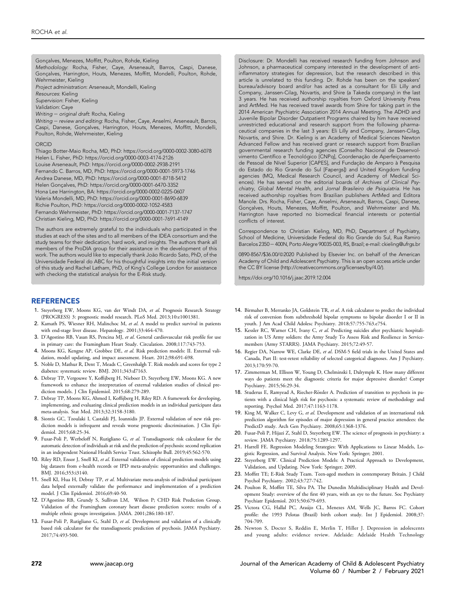Gonçalves, Menezes, Moffitt, Poulton, Rohde, Kieling Methodology: Rocha, Fisher, Caye, Arseneault, Barros, Caspi, Danese, Goncalves, Harrington, Houts, Menezes, Moffitt, Mondelli, Poulton, Rohde, Wehrmeister, Kieling Project administration: Arseneault, Mondelli, Kieling Resources: Kieling Supervision: Fisher, Kieling Validation: Caye Writing - original draft: Rocha, Kieling Writing - review and editing: Rocha, Fisher, Caye, Anselmi, Arseneault, Barros, Caspi, Danese, Gonçalves, Harrington, Houts, Menezes, Moffitt, Mondelli, Poulton, Rohde, Wehrmeister, Kieling ORCID

Thiago Botter-Maio Rocha, MD, PhD:<https://orcid.org/0000-0002-3080-6078> Helen L. Fisher, PhD:<https://orcid.org/0000-0003-4174-2126> Louise Arseneault, PhD:<https://orcid.org/0000-0002-2938-2191> Fernando C. Barros, MD, PhD:<https://orcid.org/0000-0001-5973-1746> Andrea Danese, MD, PhD:<https://orcid.org/0000-0001-8718-5412> Helen Gonçalves, PhD:<https://orcid.org/0000-0001-6470-3352> Hona Lee Harrington, BA:<https://orcid.org/0000-0002-0225-0607> Valeria Mondelli, MD, PhD:<https://orcid.org/0000-0001-8690-6839> Richie Poulton, PhD:<https://orcid.org/0000-0002-1052-4583> Fernando Wehrmeister, PhD:<https://orcid.org/0000-0001-7137-1747> Christian Kieling, MD, PhD:<https://orcid.org/0000-0001-7691-4149>

The authors are extremely grateful to the individuals who participated in the studies at each of the sites and to all members of the IDEA consortium and the study teams for their dedication, hard work, and insights. The authors thank all members of the ProDIA group for their assistance in the development of this work. The authors would like to especially thank João Ricardo Sato, PhD, of the Universidade Federal do ABC for his thoughtful insights into the initial version of this study and Rachel Latham, PhD, of King's College London for assistance with checking the statistical analysis for the E-Risk study.

### **REFERENCES**

- <span id="page-10-0"></span>1. Steyerberg EW, Moons KG, van der Windt DA, et al. Prognosis Research Strategy (PROGRESS) 3: prognostic model research. PLoS Med. 2013;10:e1001381.
- <span id="page-10-1"></span>2. Kamath PS, Wiesner RH, Malinchoc M, et al. A model to predict survival in patients with end-stage liver disease. Hepatology. 2001;33:464-470.
- <span id="page-10-2"></span>3. D'Agostino RB, Vasan RS, Pencina MJ, et al. General cardiovascular risk profile for use in primary care: the Framingham Heart Study. Circulation. 2008;117:743-753.
- <span id="page-10-3"></span>4. Moons KG, Kengne AP, Grobbee DE, et al. Risk prediction models: II. External validation, model updating, and impact assessment. Heart. 2012;98:691-698.
- <span id="page-10-4"></span>5. Noble D, Mathur R, Dent T, Meads C, Greenhalgh T. Risk models and scores for type 2 diabetes: systematic review. BMJ. 2011;343:d7163.
- <span id="page-10-5"></span>6. Debray TP, Vergouwe Y, Koffijberg H, Nieboer D, Steyerberg EW, Moons KG. A new framework to enhance the interpretation of external validation studies of clinical prediction models. J Clin Epidemiol. 2015;68:279-289.
- <span id="page-10-6"></span>7. Debray TP, Moons KG, Ahmed I, Koffijberg H, Riley RD. A framework for developing, implementing, and evaluating clinical prediction models in an individual participant data meta-analysis. Stat Med. 2013;32:3158-3180.
- <span id="page-10-7"></span>8. Siontis GC, Tzoulaki I, Castaldi PJ, Ioannidis JP. External validation of new risk prediction models is infrequent and reveals worse prognostic discrimination. J Clin Epidemiol. 2015;68:25-34.
- <span id="page-10-8"></span>9. Fusar-Poli P, Werbeloff N, Rutigliano G, et al. Transdiagnostic risk calculator for the automatic detection of individuals at risk and the prediction of psychosis: second replication in an independent National Health Service Trust. Schizophr Bull. 2019;45:562-570.
- <span id="page-10-9"></span>10. Riley RD, Ensor J, Snell KI, et al. External validation of clinical prediction models using big datasets from e-health records or IPD meta-analysis: opportunities and challenges. BMJ. 2016;353:i3140.
- <span id="page-10-10"></span>11. Snell KI, Hua H, Debray TP, et al. Multivariate meta-analysis of individual participant data helped externally validate the performance and implementation of a prediction model. J Clin Epidemiol. 2016;69:40-50.
- <span id="page-10-11"></span>12. D'Agostino RB, Grundy S, Sullivan LM, Wilson P; CHD Risk Prediction Group. Validation of the Framingham coronary heart disease prediction scores: results of a multiple ethnic groups investigation. JAMA. 2001;286:180-187.
- <span id="page-10-12"></span>13. Fusar-Poli P, Rutigliano G, Stahl D, et al. Development and validation of a clinically based risk calculator for the transdiagnostic prediction of psychosis. JAMA Psychiatry. 2017;74:493-500.

Disclosure: Dr. Mondelli has received research funding from Johnson and Johnson, a pharmaceutical company interested in the development of antiinflammatory strategies for depression, but the research described in this article is unrelated to this funding. Dr. Rohde has been on the speakers' bureau/advisory board and/or has acted as a consultant for Eli Lilly and Company, Janssen-Cilag, Novartis, and Shire (a Takeda company) in the last 3 years. He has received authorship royalties from Oxford University Press and ArtMed. He has received travel awards from Shire for taking part in the 2014 American Psychiatric Association 2014 Annual Meeting. The ADHD and Juvenile Bipolar Disorder Outpatient Programs chaired by him have received unrestricted educational and research support from the following pharmaceutical companies in the last 3 years: Eli Lilly and Company, Janssen-Cilag, Novartis, and Shire. Dr. Kieling is an Academy of Medical Sciences Newton Advanced Fellow and has received grant or research support from Brazilian governmental research funding agencies (Conselho Nacional de Desenvolvimento Científico e Tecnológico [CNPq], Coordenação de Aperfeiçoamento de Pessoal de Nível Superior [CAPES], and Fundação de Amparo à Pesquisa do Estado do Rio Grande do Sul [Fapergs]) and United Kingdom funding agencies (MQ, Medical Research Council, and Academy of Medical Sciences). He has served on the editorial boards of Archives of Clinical Psychiatry, Global Mental Health, and Jornal Brasileiro de Psiquiatria. He has received authorship royalties from Brazilian publishers ArtMed and Editora Manole. Drs. Rocha, Fisher, Caye, Anselmi, Arseneault, Barros, Caspi, Danese, Gonçalves, Houts, Menezes, Moffitt, Poulton, and Wehrmeister and Ms. Harrington have reported no biomedical financial interests or potential conflicts of interest.

<span id="page-10-22"></span>Correspondence to Christian Kieling, MD, PhD, Department of Psychiatry, School of Medicine, Universidade Federal do Rio Grande do Sul, Rua Ramiro Barcelos 2350 - 400N, Porto Alegre 90035-003, RS, Brazil; e-mail: [ckieling@ufrgs.br](mailto:ckieling@ufrgs.br)

0890-8567/\$36.00/@2020 Published by Elsevier Inc. on behalf of the American Academy of Child and Adolescent Psychiatry. This is an open access article under the CC BY license (http://creativecommons.org/licenses/by/4.0/).

<https://doi.org/10.1016/j.jaac.2019.12.004>

- 14. Birmaher B, Merranko JA, Goldstein TR, et al. A risk calculator to predict the individual risk of conversion from subthreshold bipolar symptoms to bipolar disorder I or II in youth. J Am Acad Child Adolesc Psychiatry. 2018;57:755-763.e754.
- 15. Kessler RC, Warner CH, Ivany C, et al. Predicting suicides after psychiatric hospitalization in US Army soldiers: the Army Study To Assess Risk and Resilience in Servicemembers (Army STARRS). JAMA Psychiatry. 2015;72:49-57.
- <span id="page-10-13"></span>16. Regier DA, Narrow WE, Clarke DE, et al. DSM-5 field trials in the United States and Canada, Part II: test-retest reliability of selected categorical diagnoses. Am J Psychiatry. 2013;170:59-70.
- <span id="page-10-14"></span>17. Zimmerman M, Ellison W, Young D, Chelminski I, Dalrymple K. How many different ways do patients meet the diagnostic criteria for major depressive disorder? Compr Psychiatry. 2015;56:29-34.
- <span id="page-10-15"></span>18. Studerus E, Ramyead A, Riecher-Rössler A. Prediction of transition to psychosis in patients with a clinical high risk for psychosis: a systematic review of methodology and reporting. Psychol Med. 2017;47:1163-1178.
- <span id="page-10-16"></span>19. King M, Walker C, Levy G, et al. Development and validation of an international risk prediction algorithm for episodes of major depression in general practice attendees: the PredictD study. Arch Gen Psychiatry. 2008;65:1368-1376.
- <span id="page-10-17"></span>20. Fusar-Poli P, Hijazi Z, Stahl D, Steyerberg EW. The science of prognosis in psychiatry: a review. JAMA Psychiatry. 2018;75:1289-1297.
- <span id="page-10-18"></span>21. Harrell FE. Regression Modeling Strategies: With Applications to Linear Models, Logistic Regression, and Survival Analysis. New York: Springer; 2001.
- <span id="page-10-19"></span>22. Steyerberg EW. Clinical Prediction Models: A Practical Approach to Development, Validation, and Updating. New York: Springer; 2009.
- <span id="page-10-20"></span>23. Moffitt TE; E-Risk Study Team. Teen-aged mothers in contemporary Britain. J Child Psychol Psychiatry. 2002;43:727-742.
- 24. Poulton R, Moffitt TE, Silva PA. The Dunedin Multidisciplinary Health and Development Study: overview of the first 40 years, with an eye to the future. Soc Psychiatry Psychiatr Epidemiol. 2015;50:679-693.
- 25. Victora CG, Hallal PC, Araujo CL, Menezes AM, Wells JC, Barros FC. Cohort profile: the 1993 Pelotas (Brazil) birth cohort study. Int J Epidemiol. 2008;37: 704-709.
- <span id="page-10-21"></span>26. Newton S, Docter S, Reddin E, Merlin T, Hiller J. Depression in adolescents and young adults: evidence review. Adelaide: Adelaide Health Technology